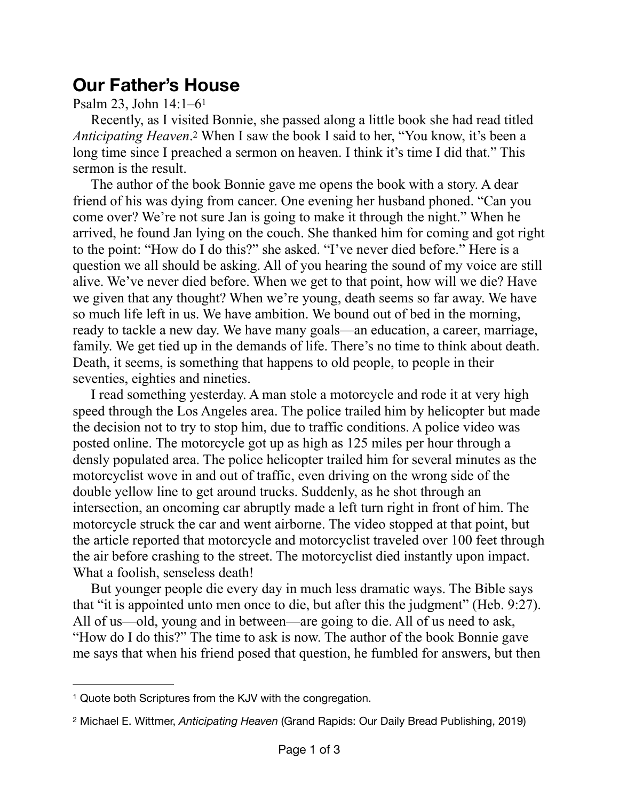## **Our Father's House**

## <span id="page-0-2"></span>Psalm 23, John 14:1–6[1](#page-0-0)

<span id="page-0-3"></span>Recently, as I visited Bonnie, she passed along a little book she had read titled *AnticipatingHeaven*.<sup>[2](#page-0-1)</sup> When I saw the book I said to her, "You know, it's been a long time since I preached a sermon on heaven. I think it's time I did that." This sermon is the result.

The author of the book Bonnie gave me opens the book with a story. A dear friend of his was dying from cancer. One evening her husband phoned. "Can you come over? We're not sure Jan is going to make it through the night." When he arrived, he found Jan lying on the couch. She thanked him for coming and got right to the point: "How do I do this?" she asked. "I've never died before." Here is a question we all should be asking. All of you hearing the sound of my voice are still alive. We've never died before. When we get to that point, how will we die? Have we given that any thought? When we're young, death seems so far away. We have so much life left in us. We have ambition. We bound out of bed in the morning, ready to tackle a new day. We have many goals—an education, a career, marriage, family. We get tied up in the demands of life. There's no time to think about death. Death, it seems, is something that happens to old people, to people in their seventies, eighties and nineties.

I read something yesterday. A man stole a motorcycle and rode it at very high speed through the Los Angeles area. The police trailed him by helicopter but made the decision not to try to stop him, due to traffic conditions. A police video was posted online. The motorcycle got up as high as 125 miles per hour through a densly populated area. The police helicopter trailed him for several minutes as the motorcyclist wove in and out of traffic, even driving on the wrong side of the double yellow line to get around trucks. Suddenly, as he shot through an intersection, an oncoming car abruptly made a left turn right in front of him. The motorcycle struck the car and went airborne. The video stopped at that point, but the article reported that motorcycle and motorcyclist traveled over 100 feet through the air before crashing to the street. The motorcyclist died instantly upon impact. What a foolish, senseless death!

But younger people die every day in much less dramatic ways. The Bible says that "it is appointed unto men once to die, but after this the judgment" (Heb. 9:27). All of us—old, young and in between—are going to die. All of us need to ask, "How do I do this?" The time to ask is now. The author of the book Bonnie gave me says that when his friend posed that question, he fumbled for answers, but then

<span id="page-0-0"></span><sup>&</sup>lt;sup>[1](#page-0-2)</sup> Quote both Scriptures from the KJV with the congregation.

<span id="page-0-1"></span>Michael E. Wittmer, *Anticipating Heaven* (Grand Rapids: Our Daily Bread Publishing, 2019) [2](#page-0-3)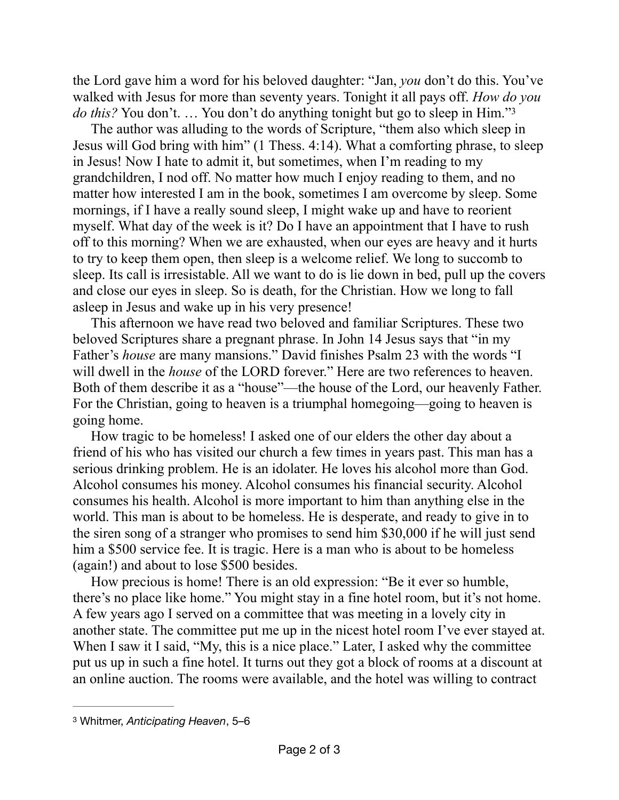the Lord gave him a word for his beloved daughter: "Jan, *you* don't do this. You've walked with Jesus for more than seventy years. Tonight it all pays off. *How do you do this?* You don't. ... You don't do anything tonight but go to sleep in Him."<sup>[3](#page-1-0)</sup>

<span id="page-1-1"></span>The author was alluding to the words of Scripture, "them also which sleep in Jesus will God bring with him" (1 Thess. 4:14). What a comforting phrase, to sleep in Jesus! Now I hate to admit it, but sometimes, when I'm reading to my grandchildren, I nod off. No matter how much I enjoy reading to them, and no matter how interested I am in the book, sometimes I am overcome by sleep. Some mornings, if I have a really sound sleep, I might wake up and have to reorient myself. What day of the week is it? Do I have an appointment that I have to rush off to this morning? When we are exhausted, when our eyes are heavy and it hurts to try to keep them open, then sleep is a welcome relief. We long to succomb to sleep. Its call is irresistable. All we want to do is lie down in bed, pull up the covers and close our eyes in sleep. So is death, for the Christian. How we long to fall asleep in Jesus and wake up in his very presence!

This afternoon we have read two beloved and familiar Scriptures. These two beloved Scriptures share a pregnant phrase. In John 14 Jesus says that "in my Father's *house* are many mansions." David finishes Psalm 23 with the words "I will dwell in the *house* of the LORD forever." Here are two references to heaven. Both of them describe it as a "house"—the house of the Lord, our heavenly Father. For the Christian, going to heaven is a triumphal homegoing—going to heaven is going home.

How tragic to be homeless! I asked one of our elders the other day about a friend of his who has visited our church a few times in years past. This man has a serious drinking problem. He is an idolater. He loves his alcohol more than God. Alcohol consumes his money. Alcohol consumes his financial security. Alcohol consumes his health. Alcohol is more important to him than anything else in the world. This man is about to be homeless. He is desperate, and ready to give in to the siren song of a stranger who promises to send him \$30,000 if he will just send him a \$500 service fee. It is tragic. Here is a man who is about to be homeless (again!) and about to lose \$500 besides.

How precious is home! There is an old expression: "Be it ever so humble, there's no place like home." You might stay in a fine hotel room, but it's not home. A few years ago I served on a committee that was meeting in a lovely city in another state. The committee put me up in the nicest hotel room I've ever stayed at. When I saw it I said, "My, this is a nice place." Later, I asked why the committee put us up in such a fine hotel. It turns out they got a block of rooms at a discount at an online auction. The rooms were available, and the hotel was willing to contract

<span id="page-1-0"></span>[<sup>3</sup>](#page-1-1) Whitmer, *Anticipating Heaven*, 5–6